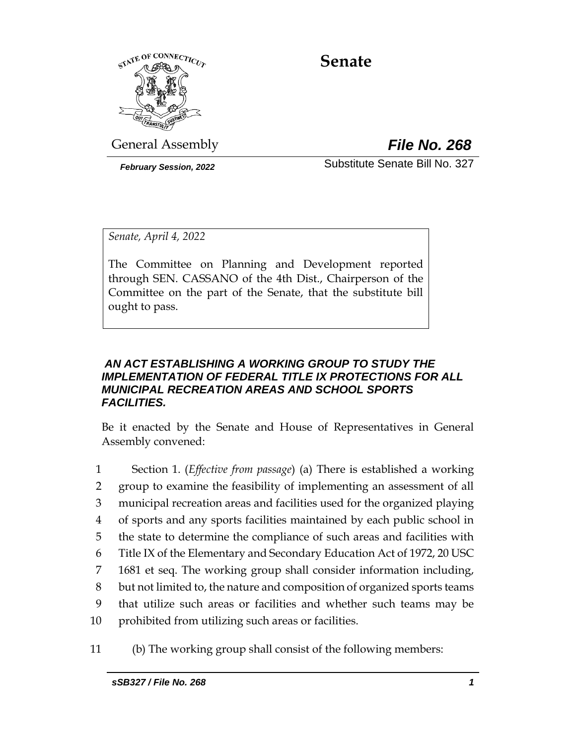

# **Senate**

General Assembly *File No. 268*

*February Session, 2022* Substitute Senate Bill No. 327

*Senate, April 4, 2022*

The Committee on Planning and Development reported through SEN. CASSANO of the 4th Dist., Chairperson of the Committee on the part of the Senate, that the substitute bill ought to pass.

## *AN ACT ESTABLISHING A WORKING GROUP TO STUDY THE IMPLEMENTATION OF FEDERAL TITLE IX PROTECTIONS FOR ALL MUNICIPAL RECREATION AREAS AND SCHOOL SPORTS FACILITIES.*

Be it enacted by the Senate and House of Representatives in General Assembly convened:

- 1 Section 1. (*Effective from passage*) (a) There is established a working 2 group to examine the feasibility of implementing an assessment of all 3 municipal recreation areas and facilities used for the organized playing 4 of sports and any sports facilities maintained by each public school in 5 the state to determine the compliance of such areas and facilities with 6 Title IX of the Elementary and Secondary Education Act of 1972, 20 USC 7 1681 et seq. The working group shall consider information including, 8 but not limited to, the nature and composition of organized sports teams 9 that utilize such areas or facilities and whether such teams may be 10 prohibited from utilizing such areas or facilities.
- 11 (b) The working group shall consist of the following members: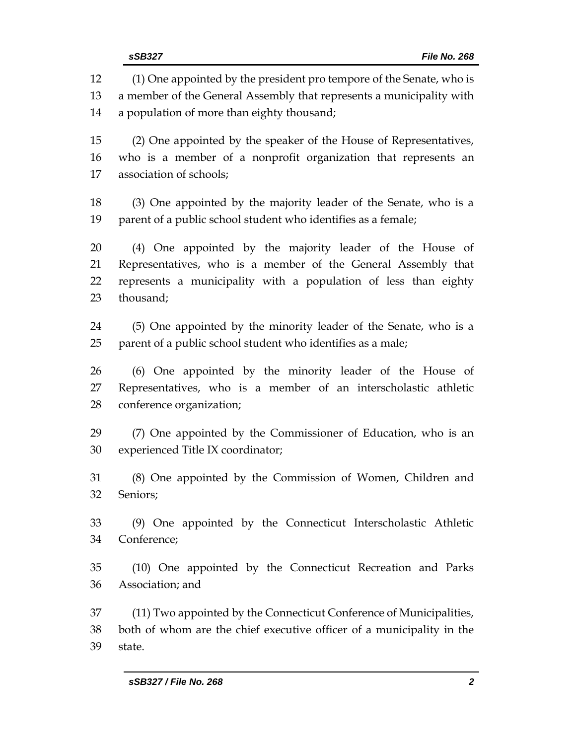(1) One appointed by the president pro tempore of the Senate, who is a member of the General Assembly that represents a municipality with a population of more than eighty thousand; (2) One appointed by the speaker of the House of Representatives, who is a member of a nonprofit organization that represents an association of schools; (3) One appointed by the majority leader of the Senate, who is a parent of a public school student who identifies as a female; (4) One appointed by the majority leader of the House of Representatives, who is a member of the General Assembly that represents a municipality with a population of less than eighty thousand; (5) One appointed by the minority leader of the Senate, who is a parent of a public school student who identifies as a male; (6) One appointed by the minority leader of the House of Representatives, who is a member of an interscholastic athletic conference organization; (7) One appointed by the Commissioner of Education, who is an experienced Title IX coordinator; (8) One appointed by the Commission of Women, Children and Seniors; (9) One appointed by the Connecticut Interscholastic Athletic Conference; (10) One appointed by the Connecticut Recreation and Parks Association; and (11) Two appointed by the Connecticut Conference of Municipalities, both of whom are the chief executive officer of a municipality in the state.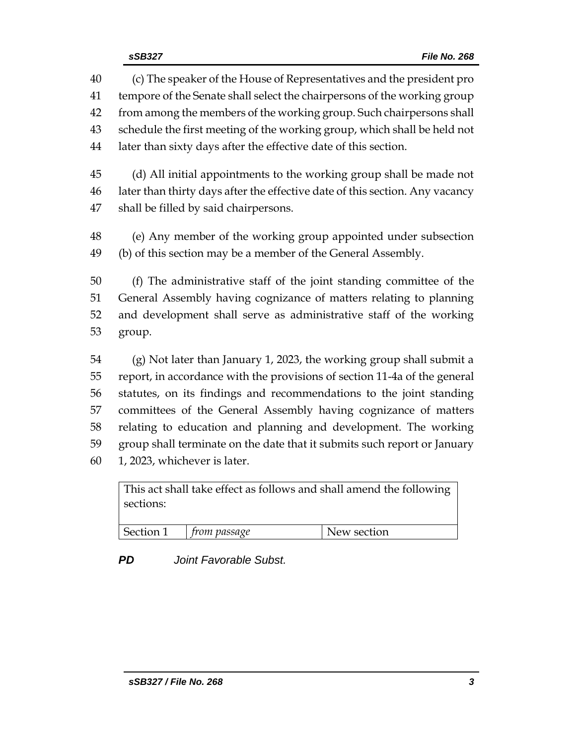(c) The speaker of the House of Representatives and the president pro tempore of the Senate shall select the chairpersons of the working group from among the members of the working group. Such chairpersons shall schedule the first meeting of the working group, which shall be held not later than sixty days after the effective date of this section.

 (d) All initial appointments to the working group shall be made not later than thirty days after the effective date of this section. Any vacancy shall be filled by said chairpersons.

 (e) Any member of the working group appointed under subsection (b) of this section may be a member of the General Assembly.

 (f) The administrative staff of the joint standing committee of the General Assembly having cognizance of matters relating to planning and development shall serve as administrative staff of the working group.

 (g) Not later than January 1, 2023, the working group shall submit a report, in accordance with the provisions of section 11-4a of the general statutes, on its findings and recommendations to the joint standing committees of the General Assembly having cognizance of matters relating to education and planning and development. The working group shall terminate on the date that it submits such report or January 1, 2023, whichever is later.

| This act shall take effect as follows and shall amend the following<br>sections: |                                        |  |             |
|----------------------------------------------------------------------------------|----------------------------------------|--|-------------|
|                                                                                  | $\vert$ Section 1 $\vert$ from passage |  | New section |

*PD Joint Favorable Subst.*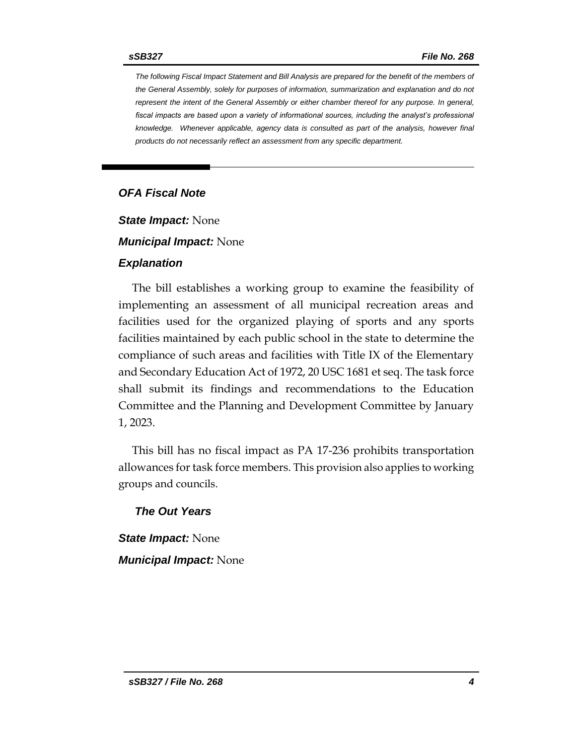*The following Fiscal Impact Statement and Bill Analysis are prepared for the benefit of the members of the General Assembly, solely for purposes of information, summarization and explanation and do not represent the intent of the General Assembly or either chamber thereof for any purpose. In general,*  fiscal impacts are based upon a variety of informational sources, including the analyst's professional *knowledge. Whenever applicable, agency data is consulted as part of the analysis, however final products do not necessarily reflect an assessment from any specific department.*

## *OFA Fiscal Note*

*State Impact:* None

*Municipal Impact:* None

#### *Explanation*

The bill establishes a working group to examine the feasibility of implementing an assessment of all municipal recreation areas and facilities used for the organized playing of sports and any sports facilities maintained by each public school in the state to determine the compliance of such areas and facilities with Title IX of the Elementary and Secondary Education Act of 1972, 20 USC 1681 et seq. The task force shall submit its findings and recommendations to the Education Committee and the Planning and Development Committee by January 1, 2023.

This bill has no fiscal impact as PA 17-236 prohibits transportation allowances for task force members. This provision also applies to working groups and councils.

#### *The Out Years*

*State Impact:* None *Municipal Impact:* None